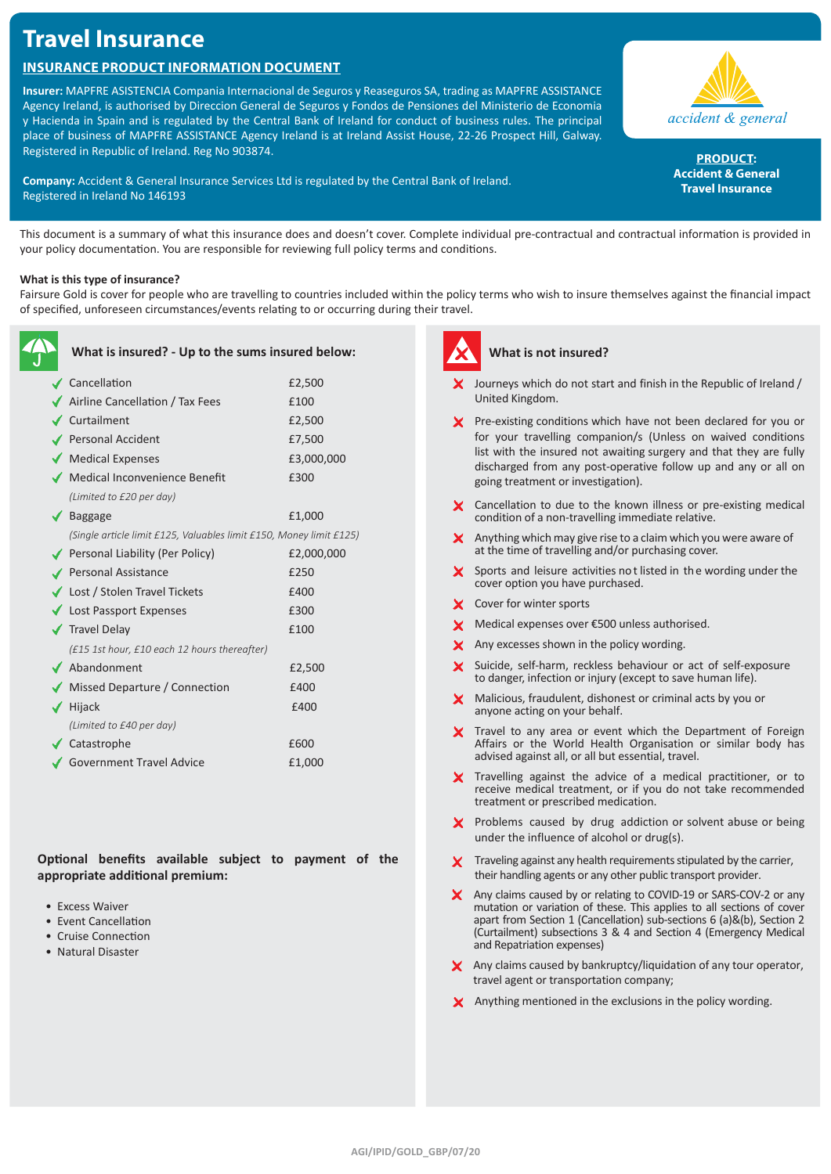# **Travel Insurance**

# **Insurance Product Information Document**

**Insurer:** MAPFRE ASISTENCIA Compania Internacional de Seguros y Reaseguros SA, trading as MAPFRE ASSISTANCE Agency Ireland, is authorised by Direccion General de Seguros y Fondos de Pensiones del Ministerio de Economia y Hacienda in Spain and is regulated by the Central Bank of Ireland for conduct of business rules. The principal place of business of MAPFRE ASSISTANCE Agency Ireland is at Ireland Assist House, 22-26 Prospect Hill, Galway. Registered in Republic of Ireland. Reg No 903874.

**Company:** Accident & General Insurance Services Ltd is regulated by the Central Bank of Ireland. Registered in Ireland No 146193



**PRODUCT: Accident & General Travel Insurance**

This document is a summary of what this insurance does and doesn't cover. Complete individual pre-contractual and contractual information is provided in your policy documentation. You are responsible for reviewing full policy terms and conditions.

# **What is this type of insurance?**

Fairsure Gold is cover for people who are travelling to countries included within the policy terms who wish to insure themselves against the financial impact of specified, unforeseen circumstances/events relating to or occurring during their travel.

| What is insured? - Up to the sums insured below:                    |            |
|---------------------------------------------------------------------|------------|
| ✔ Cancellation                                                      | £2,500     |
| Airline Cancellation / Tax Fees                                     | £100       |
| $\checkmark$ Curtailment                                            | £2,500     |
| ✔ Personal Accident                                                 | £7,500     |
| Medical Expenses                                                    | £3,000,000 |
| Medical Inconvenience Benefit                                       | £300       |
| (Limited to £20 per day)                                            |            |
| $\sqrt{\phantom{a}}$ Baggage                                        | £1,000     |
| (Single article limit £125, Valuables limit £150, Money limit £125) |            |
| ◆ Personal Liability (Per Policy)                                   | £2,000,000 |
| Personal Assistance                                                 | £250       |
| ◆ Lost / Stolen Travel Tickets                                      | £400       |
| Lost Passport Expenses                                              | £300       |
| √ Travel Delay                                                      | £100       |
| (£15 1st hour, £10 each 12 hours thereafter)                        |            |
| $\blacktriangleright$ Abandonment                                   | £2,500     |
| ◆ Missed Departure / Connection                                     | £400       |
| Hijack                                                              | £400       |
| (Limited to £40 per day)                                            |            |
| ✔ Catastrophe                                                       | £600       |
| Government Travel Advice                                            | £1,000     |

**Optional benefits available subject to payment of the appropriate additional premium:**

- Excess Waiver
- Event Cancellation
- Cruise Connection
- Natural Disaster



# **What is not insured?**

- $\boldsymbol{\times}$  Journeys which do not start and finish in the Republic of Ireland / United Kingdom.
- X Pre-existing conditions which have not been declared for you or for your travelling companion/s (Unless on waived conditions list with the insured not awaiting surgery and that they are fully discharged from any post-operative follow up and any or all on going treatment or investigation).
- X Cancellation to due to the known illness or pre-existing medical condition of a non-travelling immediate relative.
- $\boldsymbol{\times}$  Anything which may give rise to a claim which you were aware of at the time of travelling and/or purchasing cover.
- Sports and leisure activities not listed in the wording under the cover option you have purchased.
- X Cover for winter sports
- X Medical expenses over €500 unless authorised.
- X Any excesses shown in the policy wording.
- X Suicide, self-harm, reckless behaviour or act of self-exposure to danger, infection or injury (except to save human life).
- X Malicious, fraudulent, dishonest or criminal acts by you or anyone acting on your behalf.
- X Travel to any area or event which the Department of Foreign Affairs or the World Health Organisation or similar body has advised against all, or all but essential, travel.
- $\boldsymbol{\times}$  Travelling against the advice of a medical practitioner, or to receive medical treatment, or if you do not take recommended treatment or prescribed medication.
- X Problems caused by drug addiction or solvent abuse or being under the influence of alcohol or drug(s).
- $\boldsymbol{\times}$  Traveling against any health requirements stipulated by the carrier, their handling agents or any other public transport provider.
- X Any claims caused by or relating to COVID-19 or SARS-COV-2 or any mutation or variation of these. This applies to all sections of cover apart from Section 1 (Cancellation) sub-sections 6 (a)&(b), Section 2 (Curtailment) subsections 3 & 4 and Section 4 (Emergency Medical and Repatriation expenses)
- X Any claims caused by bankruptcy/liquidation of any tour operator, travel agent or transportation company;
- $\boldsymbol{\times}$  Anything mentioned in the exclusions in the policy wording.